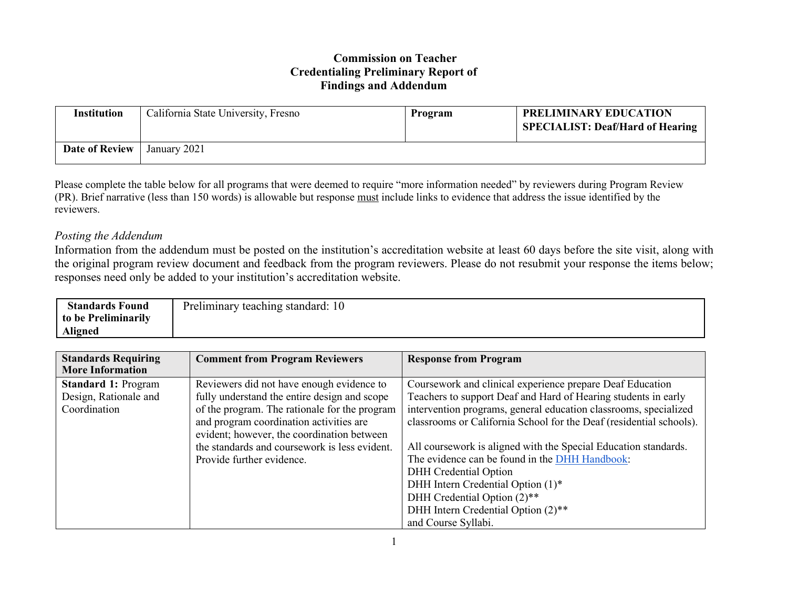## **Commission on Teacher Credentialing Preliminary Report of Findings and Addendum**

| Institution           | California State University, Fresno | Program | <b>PRELIMINARY EDUCATION</b><br><b>SPECIALIST: Deaf/Hard of Hearing</b> |
|-----------------------|-------------------------------------|---------|-------------------------------------------------------------------------|
| <b>Date of Review</b> | January 2021                        |         |                                                                         |

Please complete the table below for all programs that were deemed to require "more information needed" by reviewers during Program Review (PR). Brief narrative (less than 150 words) is allowable but response must include links to evidence that address the issue identified by the reviewers.

## *Posting the Addendum*

Information from the addendum must be posted on the institution's accreditation website at least 60 days before the site visit, along with the original program review document and feedback from the program reviewers. Please do not resubmit your response the items below; responses need only be added to your institution's accreditation website.

| <b>Standards Found</b> | Preliminary teaching standard: 10 |
|------------------------|-----------------------------------|
| to be Preliminarily    |                                   |
| <b>Aligned</b>         |                                   |

| <b>Standards Requiring</b><br><b>More Information</b>               | <b>Comment from Program Reviewers</b>                                                                                                                                                                                               | <b>Response from Program</b>                                                                                                                                                                                                                                                       |
|---------------------------------------------------------------------|-------------------------------------------------------------------------------------------------------------------------------------------------------------------------------------------------------------------------------------|------------------------------------------------------------------------------------------------------------------------------------------------------------------------------------------------------------------------------------------------------------------------------------|
| <b>Standard 1: Program</b><br>Design, Rationale and<br>Coordination | Reviewers did not have enough evidence to<br>fully understand the entire design and scope<br>of the program. The rationale for the program<br>and program coordination activities are<br>evident; however, the coordination between | Coursework and clinical experience prepare Deaf Education<br>Teachers to support Deaf and Hard of Hearing students in early<br>intervention programs, general education classrooms, specialized<br>classrooms or California School for the Deaf (residential schools).             |
|                                                                     | the standards and coursework is less evident.<br>Provide further evidence.                                                                                                                                                          | All coursework is aligned with the Special Education standards.<br>The evidence can be found in the DHH Handbook:<br><b>DHH</b> Credential Option<br>DHH Intern Credential Option (1)*<br>DHH Credential Option (2)**<br>DHH Intern Credential Option (2)**<br>and Course Syllabi. |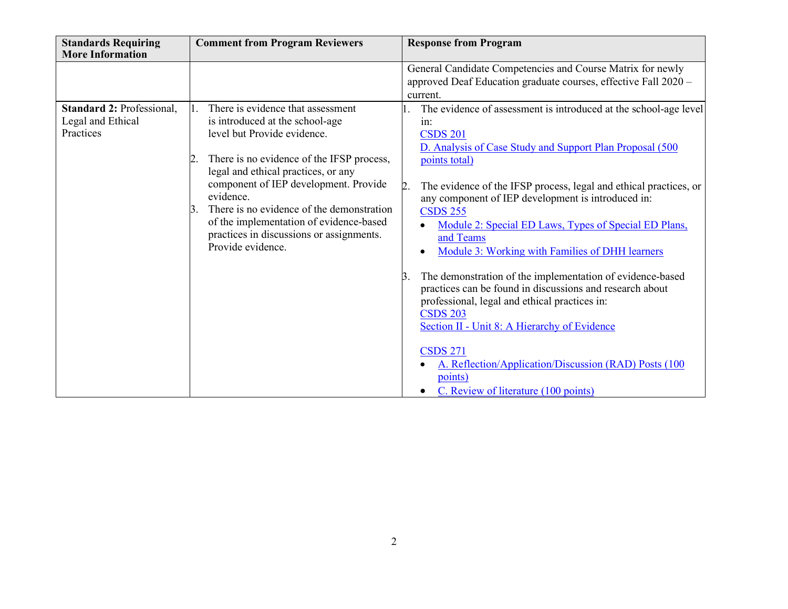| <b>Standards Requiring</b><br><b>More Information</b> | <b>Comment from Program Reviewers</b>                                                                                                                                                                                                                                                                                                | <b>Response from Program</b>                                                                                                                                                                                                                                                                                                                                                   |
|-------------------------------------------------------|--------------------------------------------------------------------------------------------------------------------------------------------------------------------------------------------------------------------------------------------------------------------------------------------------------------------------------------|--------------------------------------------------------------------------------------------------------------------------------------------------------------------------------------------------------------------------------------------------------------------------------------------------------------------------------------------------------------------------------|
| Standard 2: Professional,<br>Legal and Ethical        | There is evidence that assessment<br>is introduced at the school-age                                                                                                                                                                                                                                                                 | General Candidate Competencies and Course Matrix for newly<br>approved Deaf Education graduate courses, effective Fall 2020 -<br>current.<br>The evidence of assessment is introduced at the school-age level<br>in:                                                                                                                                                           |
| Practices                                             | level but Provide evidence.<br>There is no evidence of the IFSP process,<br>legal and ethical practices, or any<br>component of IEP development. Provide<br>evidence.<br>There is no evidence of the demonstration<br>3.<br>of the implementation of evidence-based<br>practices in discussions or assignments.<br>Provide evidence. | <b>CSDS 201</b><br>D. Analysis of Case Study and Support Plan Proposal (500<br>points total)<br>The evidence of the IFSP process, legal and ethical practices, or<br>2.<br>any component of IEP development is introduced in:<br><b>CSDS 255</b><br>Module 2: Special ED Laws, Types of Special ED Plans,<br>and Teams<br>Module 3: Working with Families of DHH learners      |
|                                                       |                                                                                                                                                                                                                                                                                                                                      | The demonstration of the implementation of evidence-based<br>3.<br>practices can be found in discussions and research about<br>professional, legal and ethical practices in:<br><b>CSDS 203</b><br>Section II - Unit 8: A Hierarchy of Evidence<br><b>CSDS 271</b><br>A. Reflection/Application/Discussion (RAD) Posts (100<br>points)<br>C. Review of literature (100 points) |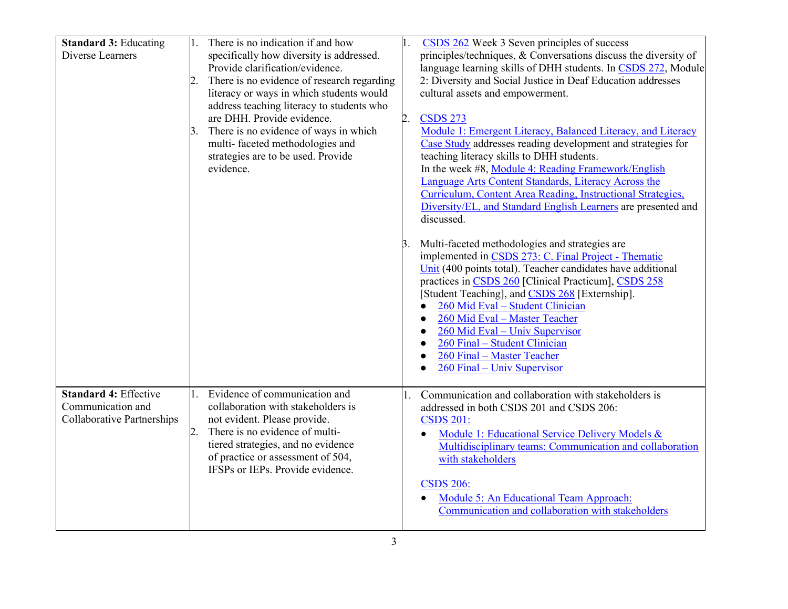| <b>Standard 3: Educating</b> |                  | There is no indication if and how          |    | CSDS 262 Week 3 Seven principles of success                     |
|------------------------------|------------------|--------------------------------------------|----|-----------------------------------------------------------------|
| Diverse Learners             |                  | specifically how diversity is addressed.   |    | principles/techniques, & Conversations discuss the diversity of |
|                              |                  | Provide clarification/evidence.            |    | language learning skills of DHH students. In CSDS 272, Module   |
|                              | 2.               | There is no evidence of research regarding |    | 2: Diversity and Social Justice in Deaf Education addresses     |
|                              |                  | literacy or ways in which students would   |    | cultural assets and empowerment.                                |
|                              |                  | address teaching literacy to students who  |    |                                                                 |
|                              |                  | are DHH. Provide evidence.                 | 2. | <b>CSDS 273</b>                                                 |
|                              |                  | There is no evidence of ways in which      |    | Module 1: Emergent Literacy, Balanced Literacy, and Literacy    |
|                              |                  | multi-faceted methodologies and            |    | Case Study addresses reading development and strategies for     |
|                              |                  | strategies are to be used. Provide         |    | teaching literacy skills to DHH students.                       |
|                              |                  | evidence.                                  |    | In the week #8, Module 4: Reading Framework/English             |
|                              |                  |                                            |    | Language Arts Content Standards, Literacy Across the            |
|                              |                  |                                            |    | Curriculum, Content Area Reading, Instructional Strategies,     |
|                              |                  |                                            |    | Diversity/EL, and Standard English Learners are presented and   |
|                              |                  |                                            |    | discussed.                                                      |
|                              |                  |                                            |    |                                                                 |
|                              |                  |                                            | 3. | Multi-faceted methodologies and strategies are                  |
|                              |                  |                                            |    | implemented in CSDS 273: C. Final Project - Thematic            |
|                              |                  |                                            |    | Unit (400 points total). Teacher candidates have additional     |
|                              |                  |                                            |    | practices in CSDS 260 [Clinical Practicum], CSDS 258            |
|                              |                  |                                            |    | [Student Teaching], and CSDS 268 [Externship].                  |
|                              |                  |                                            |    | 260 Mid Eval - Student Clinician                                |
|                              |                  |                                            |    | 260 Mid Eval - Master Teacher                                   |
|                              |                  |                                            |    | 260 Mid Eval – Univ Supervisor                                  |
|                              |                  |                                            |    | 260 Final - Student Clinician                                   |
|                              |                  |                                            |    | 260 Final - Master Teacher                                      |
|                              |                  |                                            |    | 260 Final – Univ Supervisor                                     |
|                              |                  |                                            |    |                                                                 |
| <b>Standard 4: Effective</b> |                  | Evidence of communication and              | 1. | Communication and collaboration with stakeholders is            |
| Communication and            |                  | collaboration with stakeholders is         |    | addressed in both CSDS 201 and CSDS 206:                        |
| Collaborative Partnerships   |                  | not evident. Please provide.               |    | <b>CSDS 201:</b>                                                |
|                              | $\overline{2}$ . | There is no evidence of multi-             |    | Module 1: Educational Service Delivery Models &                 |
|                              |                  | tiered strategies, and no evidence         |    | Multidisciplinary teams: Communication and collaboration        |
|                              |                  | of practice or assessment of 504,          |    | with stakeholders                                               |
|                              |                  | IFSPs or IEPs. Provide evidence.           |    |                                                                 |
|                              |                  |                                            |    | <b>CSDS 206:</b>                                                |
|                              |                  |                                            |    | Module 5: An Educational Team Approach:                         |
|                              |                  |                                            |    | Communication and collaboration with stakeholders               |
|                              |                  |                                            |    |                                                                 |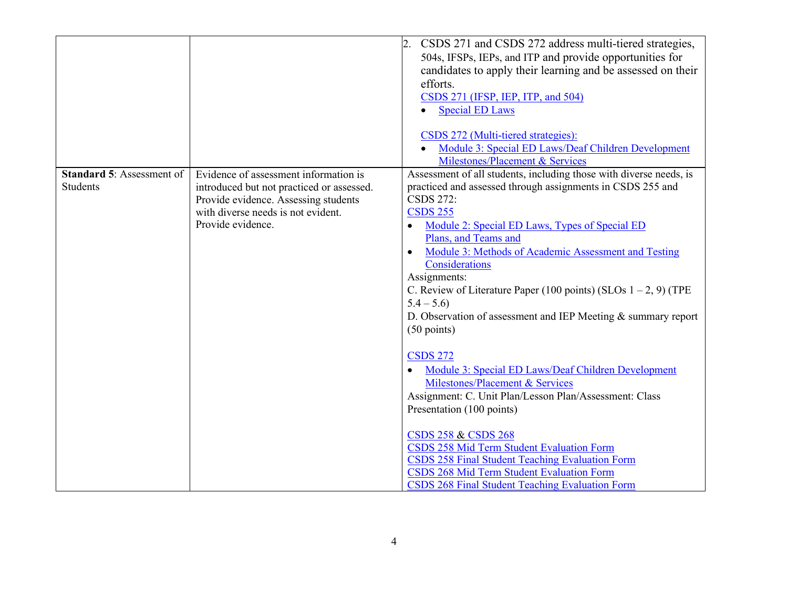|                                                     |                                                                                                                                                                                       | CSDS 271 and CSDS 272 address multi-tiered strategies,<br>504s, IFSPs, IEPs, and ITP and provide opportunities for<br>candidates to apply their learning and be assessed on their<br>efforts.<br>CSDS 271 (IFSP, IEP, ITP, and 504)<br><b>Special ED Laws</b><br>$\bullet$<br>CSDS 272 (Multi-tiered strategies):<br>Module 3: Special ED Laws/Deaf Children Development<br>Milestones/Placement & Services                                                                                                                                                                                                                                                                                                                                                                                                                                                                                                                                                                          |
|-----------------------------------------------------|---------------------------------------------------------------------------------------------------------------------------------------------------------------------------------------|--------------------------------------------------------------------------------------------------------------------------------------------------------------------------------------------------------------------------------------------------------------------------------------------------------------------------------------------------------------------------------------------------------------------------------------------------------------------------------------------------------------------------------------------------------------------------------------------------------------------------------------------------------------------------------------------------------------------------------------------------------------------------------------------------------------------------------------------------------------------------------------------------------------------------------------------------------------------------------------|
| <b>Standard 5: Assessment of</b><br><b>Students</b> | Evidence of assessment information is<br>introduced but not practiced or assessed.<br>Provide evidence. Assessing students<br>with diverse needs is not evident.<br>Provide evidence. | Assessment of all students, including those with diverse needs, is<br>practiced and assessed through assignments in CSDS 255 and<br><b>CSDS 272:</b><br><b>CSDS 255</b><br>Module 2: Special ED Laws, Types of Special ED<br>$\bullet$<br>Plans, and Teams and<br>Module 3: Methods of Academic Assessment and Testing<br>$\bullet$<br>Considerations<br>Assignments:<br>C. Review of Literature Paper (100 points) (SLOs $1 - 2$ , 9) (TPE<br>$5.4 - 5.6$<br>D. Observation of assessment and IEP Meeting $&$ summary report<br>$(50$ points)<br><b>CSDS 272</b><br>Module 3: Special ED Laws/Deaf Children Development<br>Milestones/Placement & Services<br>Assignment: C. Unit Plan/Lesson Plan/Assessment: Class<br>Presentation (100 points)<br><b>CSDS 258 &amp; CSDS 268</b><br>CSDS 258 Mid Term Student Evaluation Form<br>CSDS 258 Final Student Teaching Evaluation Form<br>CSDS 268 Mid Term Student Evaluation Form<br>CSDS 268 Final Student Teaching Evaluation Form |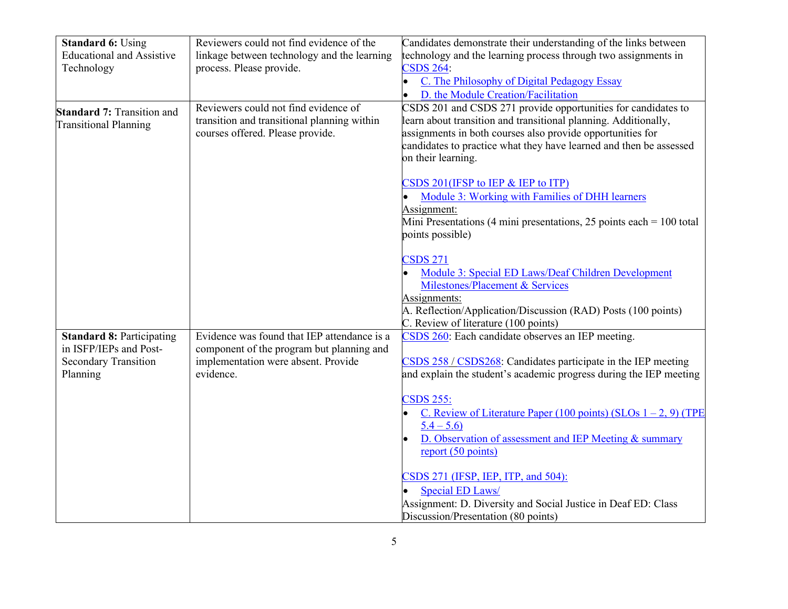| <b>Standard 6: Using</b>          | Reviewers could not find evidence of the    | Candidates demonstrate their understanding of the links between        |
|-----------------------------------|---------------------------------------------|------------------------------------------------------------------------|
| <b>Educational and Assistive</b>  | linkage between technology and the learning | technology and the learning process through two assignments in         |
| Technology                        | process. Please provide.                    | <b>CSDS 264:</b>                                                       |
|                                   |                                             | C. The Philosophy of Digital Pedagogy Essay                            |
|                                   |                                             | D. the Module Creation/Facilitation                                    |
| <b>Standard 7: Transition and</b> | Reviewers could not find evidence of        | CSDS 201 and CSDS 271 provide opportunities for candidates to          |
| <b>Transitional Planning</b>      | transition and transitional planning within | learn about transition and transitional planning. Additionally,        |
|                                   | courses offered. Please provide.            | assignments in both courses also provide opportunities for             |
|                                   |                                             | candidates to practice what they have learned and then be assessed     |
|                                   |                                             | on their learning.                                                     |
|                                   |                                             |                                                                        |
|                                   |                                             | CSDS 201(IFSP to IEP & IEP to ITP)                                     |
|                                   |                                             | Module 3: Working with Families of DHH learners                        |
|                                   |                                             | Assignment:                                                            |
|                                   |                                             | Mini Presentations (4 mini presentations, 25 points each = $100$ total |
|                                   |                                             | points possible)                                                       |
|                                   |                                             |                                                                        |
|                                   |                                             | <b>CSDS 271</b>                                                        |
|                                   |                                             | Module 3: Special ED Laws/Deaf Children Development                    |
|                                   |                                             | Milestones/Placement & Services                                        |
|                                   |                                             | Assignments:                                                           |
|                                   |                                             | A. Reflection/Application/Discussion (RAD) Posts (100 points)          |
|                                   |                                             | C. Review of literature (100 points)                                   |
| <b>Standard 8: Participating</b>  | Evidence was found that IEP attendance is a | CSDS 260: Each candidate observes an IEP meeting.                      |
| in ISFP/IEPs and Post-            | component of the program but planning and   |                                                                        |
| <b>Secondary Transition</b>       | implementation were absent. Provide         | CSDS 258 / CSDS268: Candidates participate in the IEP meeting          |
| Planning                          | evidence.                                   | and explain the student's academic progress during the IEP meeting     |
|                                   |                                             |                                                                        |
|                                   |                                             | <b>CSDS 255:</b>                                                       |
|                                   |                                             | C. Review of Literature Paper (100 points) (SLOs $1 - 2$ , 9) (TPE     |
|                                   |                                             | $5.4 - 5.6$                                                            |
|                                   |                                             | D. Observation of assessment and IEP Meeting & summary                 |
|                                   |                                             | report $(50 \text{ points})$                                           |
|                                   |                                             |                                                                        |
|                                   |                                             | CSDS 271 (IFSP, IEP, ITP, and 504):                                    |
|                                   |                                             | Special ED Laws/                                                       |
|                                   |                                             | Assignment: D. Diversity and Social Justice in Deaf ED: Class          |
|                                   |                                             | Discussion/Presentation (80 points)                                    |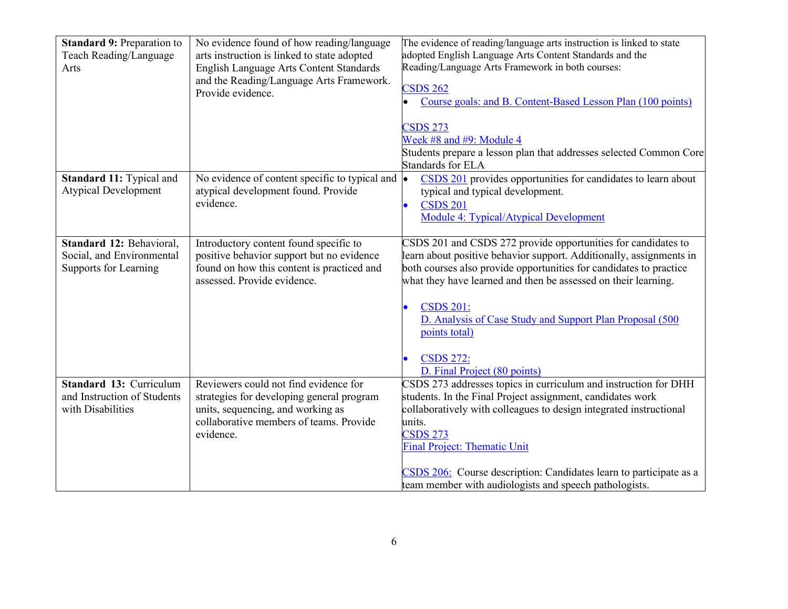| <b>Standard 9: Preparation to</b><br>Teach Reading/Language<br>Arts            | No evidence found of how reading/language<br>arts instruction is linked to state adopted<br>English Language Arts Content Standards<br>and the Reading/Language Arts Framework.<br>Provide evidence. | The evidence of reading/language arts instruction is linked to state<br>adopted English Language Arts Content Standards and the<br>Reading/Language Arts Framework in both courses:<br><b>CSDS 262</b><br>Course goals: and B. Content-Based Lesson Plan (100 points)<br><b>CSDS 273</b>                                                                                                                                          |
|--------------------------------------------------------------------------------|------------------------------------------------------------------------------------------------------------------------------------------------------------------------------------------------------|-----------------------------------------------------------------------------------------------------------------------------------------------------------------------------------------------------------------------------------------------------------------------------------------------------------------------------------------------------------------------------------------------------------------------------------|
|                                                                                |                                                                                                                                                                                                      | Week #8 and #9: Module 4<br>Students prepare a lesson plan that addresses selected Common Core                                                                                                                                                                                                                                                                                                                                    |
| Standard 11: Typical and<br><b>Atypical Development</b>                        | No evidence of content specific to typical and<br>atypical development found. Provide<br>evidence.                                                                                                   | Standards for ELA<br>CSDS 201 provides opportunities for candidates to learn about<br>$\bullet$<br>typical and typical development.<br><b>CSDS 201</b><br>$\bullet$<br>Module 4: Typical/Atypical Development                                                                                                                                                                                                                     |
| Standard 12: Behavioral,<br>Social, and Environmental<br>Supports for Learning | Introductory content found specific to<br>positive behavior support but no evidence<br>found on how this content is practiced and<br>assessed. Provide evidence.                                     | CSDS 201 and CSDS 272 provide opportunities for candidates to<br>learn about positive behavior support. Additionally, assignments in<br>both courses also provide opportunities for candidates to practice<br>what they have learned and then be assessed on their learning.<br><b>CSDS 201:</b><br>D. Analysis of Case Study and Support Plan Proposal (500<br>points total)<br><b>CSDS 272:</b><br>D. Final Project (80 points) |
| Standard 13: Curriculum<br>and Instruction of Students<br>with Disabilities    | Reviewers could not find evidence for<br>strategies for developing general program<br>units, sequencing, and working as<br>collaborative members of teams. Provide<br>evidence.                      | CSDS 273 addresses topics in curriculum and instruction for DHH<br>students. In the Final Project assignment, candidates work<br>collaboratively with colleagues to design integrated instructional<br>units.<br><b>CSDS 273</b><br><b>Final Project: Thematic Unit</b><br>CSDS 206: Course description: Candidates learn to participate as a<br>team member with audiologists and speech pathologists.                           |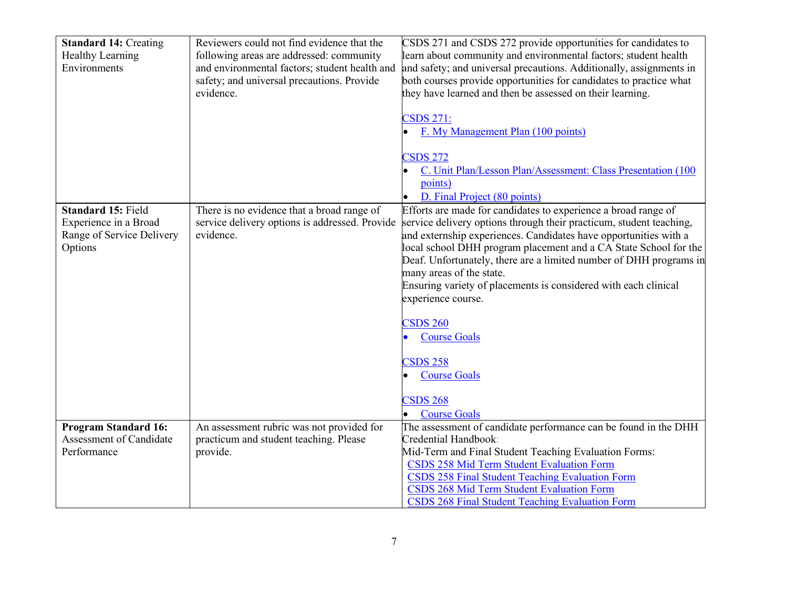| <b>Standard 14: Creating</b><br>Healthy Learning<br>Environments                           | Reviewers could not find evidence that the<br>following areas are addressed: community<br>and environmental factors; student health and<br>safety; and universal precautions. Provide<br>evidence. | CSDS 271 and CSDS 272 provide opportunities for candidates to<br>learn about community and environmental factors; student health<br>and safety; and universal precautions. Additionally, assignments in<br>both courses provide opportunities for candidates to practice what<br>they have learned and then be assessed on their learning.<br><b>CSDS 271:</b><br>F. My Management Plan (100 points)<br><b>CSDS 272</b><br>C. Unit Plan/Lesson Plan/Assessment: Class Presentation (100)<br>points)<br>D. Final Project (80 points)                                                                    |
|--------------------------------------------------------------------------------------------|----------------------------------------------------------------------------------------------------------------------------------------------------------------------------------------------------|--------------------------------------------------------------------------------------------------------------------------------------------------------------------------------------------------------------------------------------------------------------------------------------------------------------------------------------------------------------------------------------------------------------------------------------------------------------------------------------------------------------------------------------------------------------------------------------------------------|
| <b>Standard 15: Field</b><br>Experience in a Broad<br>Range of Service Delivery<br>Options | There is no evidence that a broad range of<br>service delivery options is addressed. Provide<br>evidence.                                                                                          | Efforts are made for candidates to experience a broad range of<br>service delivery options through their practicum, student teaching,<br>and externship experiences. Candidates have opportunities with a<br>local school DHH program placement and a CA State School for the<br>Deaf. Unfortunately, there are a limited number of DHH programs in<br>many areas of the state.<br>Ensuring variety of placements is considered with each clinical<br>experience course.<br><b>CSDS 260</b><br><b>Course Goals</b><br><b>CSDS 258</b><br><b>Course Goals</b><br><b>CSDS 268</b><br><b>Course Goals</b> |
| <b>Program Standard 16:</b><br>Assessment of Candidate<br>Performance                      | An assessment rubric was not provided for<br>practicum and student teaching. Please<br>provide.                                                                                                    | The assessment of candidate performance can be found in the DHH<br>Credential Handbook:<br>Mid-Term and Final Student Teaching Evaluation Forms:<br>CSDS 258 Mid Term Student Evaluation Form<br><b>CSDS 258 Final Student Teaching Evaluation Form</b><br>CSDS 268 Mid Term Student Evaluation Form<br>CSDS 268 Final Student Teaching Evaluation Form                                                                                                                                                                                                                                                |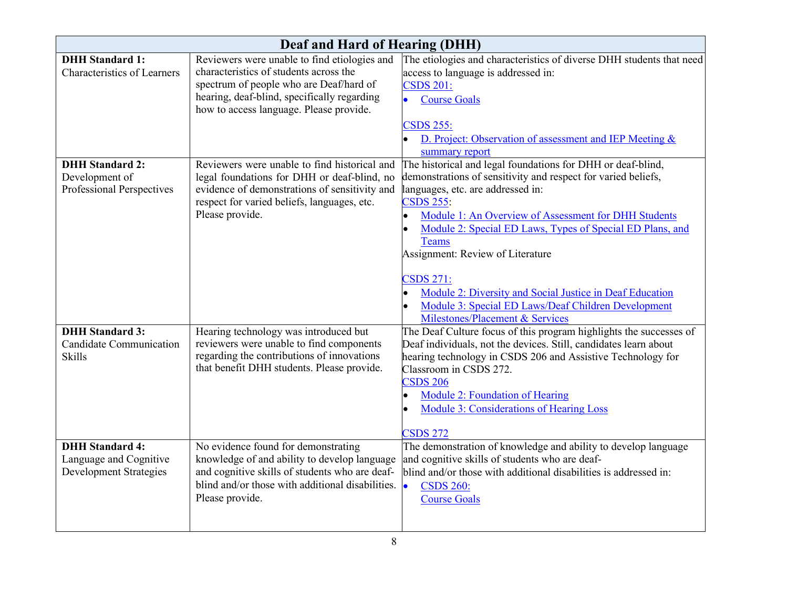| Deaf and Hard of Hearing (DHH)     |                                                  |                                                                                                                              |  |  |
|------------------------------------|--------------------------------------------------|------------------------------------------------------------------------------------------------------------------------------|--|--|
| <b>DHH Standard 1:</b>             | Reviewers were unable to find etiologies and     | The etiologies and characteristics of diverse DHH students that need                                                         |  |  |
| <b>Characteristics of Learners</b> | characteristics of students across the           | access to language is addressed in:                                                                                          |  |  |
|                                    | spectrum of people who are Deaf/hard of          | <b>CSDS 201:</b>                                                                                                             |  |  |
|                                    | hearing, deaf-blind, specifically regarding      | <b>Course Goals</b>                                                                                                          |  |  |
|                                    | how to access language. Please provide.          |                                                                                                                              |  |  |
|                                    |                                                  | <b>CSDS 255:</b>                                                                                                             |  |  |
|                                    |                                                  | D. Project: Observation of assessment and IEP Meeting &                                                                      |  |  |
| <b>DHH Standard 2:</b>             | Reviewers were unable to find historical and     | summary report                                                                                                               |  |  |
| Development of                     | legal foundations for DHH or deaf-blind, no      | The historical and legal foundations for DHH or deaf-blind,<br>demonstrations of sensitivity and respect for varied beliefs, |  |  |
| Professional Perspectives          | evidence of demonstrations of sensitivity and    | languages, etc. are addressed in:                                                                                            |  |  |
|                                    | respect for varied beliefs, languages, etc.      | <b>CSDS 255:</b>                                                                                                             |  |  |
|                                    | Please provide.                                  | Module 1: An Overview of Assessment for DHH Students<br>$\bullet$                                                            |  |  |
|                                    |                                                  | Module 2: Special ED Laws, Types of Special ED Plans, and<br>$\bullet$                                                       |  |  |
|                                    |                                                  | <b>Teams</b>                                                                                                                 |  |  |
|                                    |                                                  | Assignment: Review of Literature                                                                                             |  |  |
|                                    |                                                  |                                                                                                                              |  |  |
|                                    |                                                  | <b>CSDS 271:</b>                                                                                                             |  |  |
|                                    |                                                  | Module 2: Diversity and Social Justice in Deaf Education                                                                     |  |  |
|                                    |                                                  | Module 3: Special ED Laws/Deaf Children Development                                                                          |  |  |
|                                    |                                                  | Milestones/Placement & Services                                                                                              |  |  |
| <b>DHH Standard 3:</b>             | Hearing technology was introduced but            | The Deaf Culture focus of this program highlights the successes of                                                           |  |  |
| <b>Candidate Communication</b>     | reviewers were unable to find components         | Deaf individuals, not the devices. Still, candidates learn about                                                             |  |  |
| <b>Skills</b>                      | regarding the contributions of innovations       | hearing technology in CSDS 206 and Assistive Technology for                                                                  |  |  |
|                                    | that benefit DHH students. Please provide.       | Classroom in CSDS 272.                                                                                                       |  |  |
|                                    |                                                  | $CSDS$ 206                                                                                                                   |  |  |
|                                    |                                                  | <b>Module 2: Foundation of Hearing</b>                                                                                       |  |  |
|                                    |                                                  | <b>Module 3: Considerations of Hearing Loss</b>                                                                              |  |  |
|                                    |                                                  | <b>CSDS 272</b>                                                                                                              |  |  |
| <b>DHH Standard 4:</b>             | No evidence found for demonstrating              | The demonstration of knowledge and ability to develop language                                                               |  |  |
| Language and Cognitive             | knowledge of and ability to develop language     | and cognitive skills of students who are deaf-                                                                               |  |  |
| <b>Development Strategies</b>      | and cognitive skills of students who are deaf-   | blind and/or those with additional disabilities is addressed in:                                                             |  |  |
|                                    | blind and/or those with additional disabilities. | $\bullet$<br><b>CSDS 260:</b>                                                                                                |  |  |
|                                    | Please provide.                                  | <b>Course Goals</b>                                                                                                          |  |  |
|                                    |                                                  |                                                                                                                              |  |  |
|                                    |                                                  |                                                                                                                              |  |  |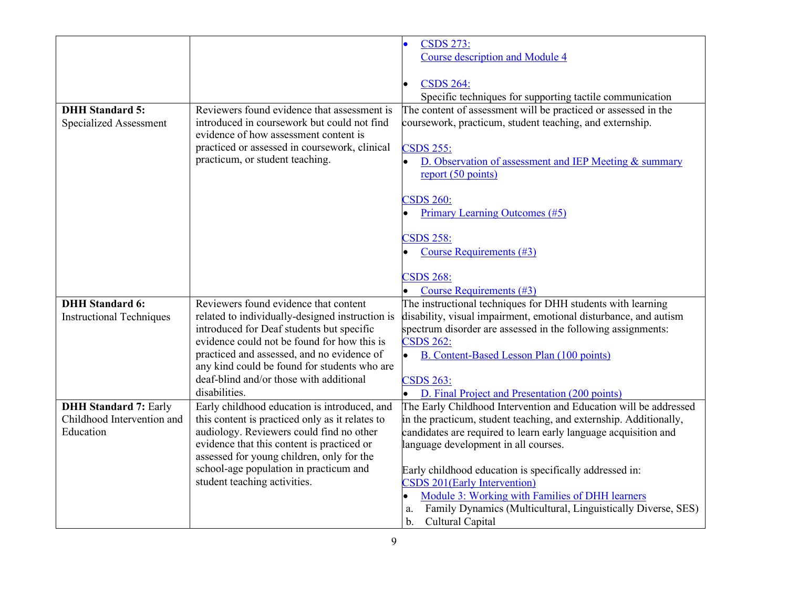|                                 |                                                 | <b>CSDS 273:</b>                                                   |
|---------------------------------|-------------------------------------------------|--------------------------------------------------------------------|
|                                 |                                                 | <b>Course description and Module 4</b>                             |
|                                 |                                                 |                                                                    |
|                                 |                                                 | <b>CSDS 264:</b>                                                   |
|                                 |                                                 | Specific techniques for supporting tactile communication           |
| <b>DHH</b> Standard 5:          | Reviewers found evidence that assessment is     | The content of assessment will be practiced or assessed in the     |
| <b>Specialized Assessment</b>   | introduced in coursework but could not find     | coursework, practicum, student teaching, and externship.           |
|                                 | evidence of how assessment content is           |                                                                    |
|                                 | practiced or assessed in coursework, clinical   | <b>CSDS 255:</b>                                                   |
|                                 | practicum, or student teaching.                 | D. Observation of assessment and IEP Meeting & summary             |
|                                 |                                                 | report (50 points)                                                 |
|                                 |                                                 |                                                                    |
|                                 |                                                 | <b>CSDS 260:</b>                                                   |
|                                 |                                                 | <b>Primary Learning Outcomes (#5)</b>                              |
|                                 |                                                 |                                                                    |
|                                 |                                                 | <b>CSDS 258:</b>                                                   |
|                                 |                                                 | Course Requirements (#3)                                           |
|                                 |                                                 |                                                                    |
|                                 |                                                 | <b>CSDS 268:</b>                                                   |
|                                 |                                                 | Course Requirements (#3)                                           |
| <b>DHH</b> Standard 6:          | Reviewers found evidence that content           | The instructional techniques for DHH students with learning        |
| <b>Instructional Techniques</b> | related to individually-designed instruction is | disability, visual impairment, emotional disturbance, and autism   |
|                                 | introduced for Deaf students but specific       | spectrum disorder are assessed in the following assignments:       |
|                                 | evidence could not be found for how this is     | <b>CSDS 262:</b>                                                   |
|                                 | practiced and assessed, and no evidence of      | <b>B.</b> Content-Based Lesson Plan (100 points)                   |
|                                 | any kind could be found for students who are    |                                                                    |
|                                 | deaf-blind and/or those with additional         | <b>CSDS 263:</b>                                                   |
|                                 | disabilities.                                   | D. Final Project and Presentation (200 points)                     |
| <b>DHH Standard 7: Early</b>    | Early childhood education is introduced, and    | The Early Childhood Intervention and Education will be addressed   |
| Childhood Intervention and      | this content is practiced only as it relates to | in the practicum, student teaching, and externship. Additionally,  |
| Education                       | audiology. Reviewers could find no other        | candidates are required to learn early language acquisition and    |
|                                 | evidence that this content is practiced or      | language development in all courses.                               |
|                                 | assessed for young children, only for the       |                                                                    |
|                                 | school-age population in practicum and          | Early childhood education is specifically addressed in:            |
|                                 | student teaching activities.                    | CSDS 201(Early Intervention)                                       |
|                                 |                                                 | Module 3: Working with Families of DHH learners<br>$\bullet$       |
|                                 |                                                 | Family Dynamics (Multicultural, Linguistically Diverse, SES)<br>a. |
|                                 |                                                 | Cultural Capital<br>$\mathbf b$ .                                  |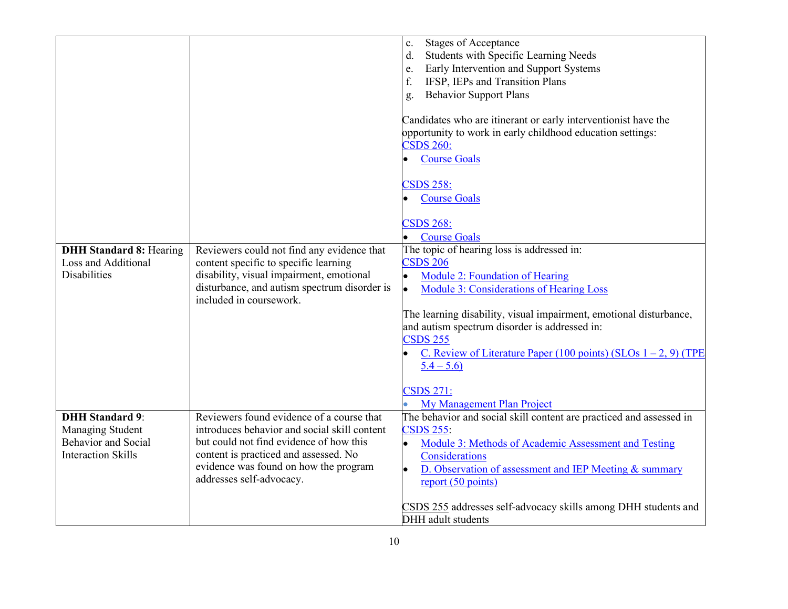|                                |                                              | <b>Stages of Acceptance</b><br>c.                                   |
|--------------------------------|----------------------------------------------|---------------------------------------------------------------------|
|                                |                                              | Students with Specific Learning Needs<br>d.                         |
|                                |                                              | Early Intervention and Support Systems<br>e.                        |
|                                |                                              | IFSP, IEPs and Transition Plans<br>f.                               |
|                                |                                              | <b>Behavior Support Plans</b>                                       |
|                                |                                              | g.                                                                  |
|                                |                                              | Candidates who are itinerant or early interventionist have the      |
|                                |                                              | opportunity to work in early childhood education settings:          |
|                                |                                              | <b>CSDS 260:</b>                                                    |
|                                |                                              |                                                                     |
|                                |                                              | <b>Course Goals</b>                                                 |
|                                |                                              | <b>CSDS 258:</b>                                                    |
|                                |                                              | <b>Course Goals</b>                                                 |
|                                |                                              | <b>CSDS 268:</b>                                                    |
|                                |                                              | <b>Course Goals</b>                                                 |
| <b>DHH Standard 8: Hearing</b> | Reviewers could not find any evidence that   | The topic of hearing loss is addressed in:                          |
| Loss and Additional            | content specific to specific learning        | <b>CSDS 206</b>                                                     |
| <b>Disabilities</b>            | disability, visual impairment, emotional     | Module 2: Foundation of Hearing<br>l.                               |
|                                | disturbance, and autism spectrum disorder is | <b>Module 3: Considerations of Hearing Loss</b><br>l.               |
|                                | included in coursework.                      |                                                                     |
|                                |                                              | The learning disability, visual impairment, emotional disturbance,  |
|                                |                                              | and autism spectrum disorder is addressed in:                       |
|                                |                                              | <b>CSDS 255</b>                                                     |
|                                |                                              | C. Review of Literature Paper (100 points) (SLOs $1 - 2$ , 9) (TPE  |
|                                |                                              | $5.4 - 5.6$                                                         |
|                                |                                              |                                                                     |
|                                |                                              | <b>CSDS 271:</b>                                                    |
|                                |                                              | My Management Plan Project                                          |
| <b>DHH Standard 9:</b>         | Reviewers found evidence of a course that    | The behavior and social skill content are practiced and assessed in |
| Managing Student               | introduces behavior and social skill content | <b>CSDS 255:</b>                                                    |
| <b>Behavior</b> and Social     | but could not find evidence of how this      | Module 3: Methods of Academic Assessment and Testing<br>$\bullet$   |
| <b>Interaction Skills</b>      | content is practiced and assessed. No        | Considerations                                                      |
|                                | evidence was found on how the program        | D. Observation of assessment and IEP Meeting & summary<br>l.        |
|                                | addresses self-advocacy.                     | report $(50 \text{ points})$                                        |
|                                |                                              |                                                                     |
|                                |                                              | CSDS 255 addresses self-advocacy skills among DHH students and      |
|                                |                                              | DHH adult students                                                  |